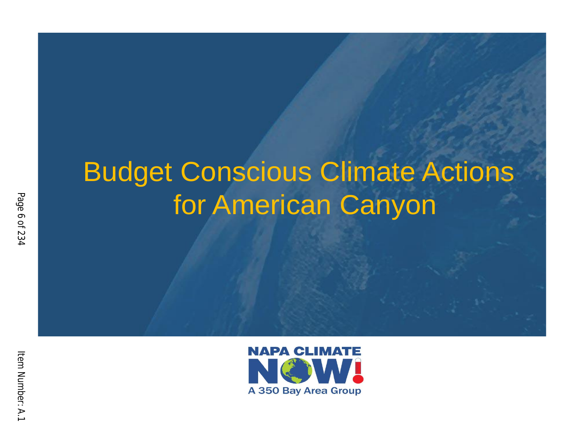# Budget Conscious Climate Actions for American Canyon

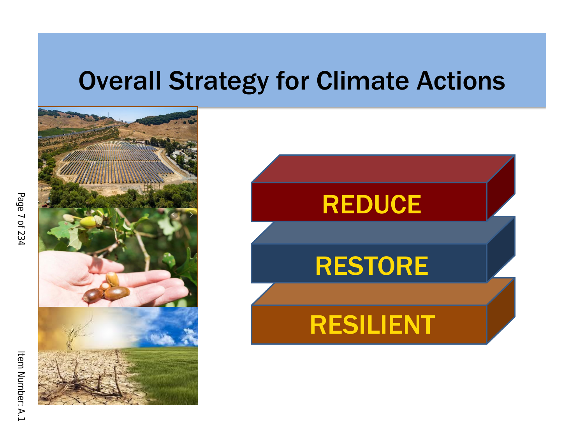### Overall Strategy for Climate Actions

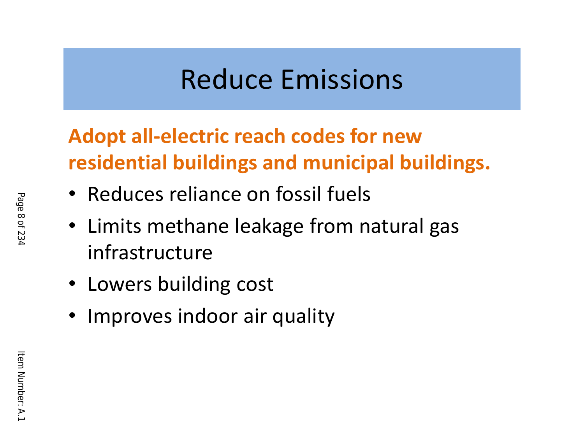## Reduce Emissions

### **Adopt all -electric reach codes for new residential buildings and municipal buildings.**

- Reduces reliance on fossil fuels
- Limits methane leakage from natural gas infrastructure
- Lowers building cost
- Improves indoor air quality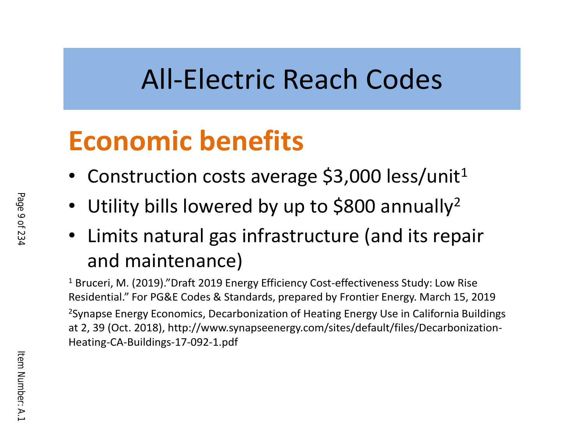# All -Electric Reach Codes

# **Economic benefits**

- Construction costs average \$3,000 less/unit<sup>1</sup>
- Utility bills lowered by up to \$800 annually<sup>2</sup>
- Limits natural gas infrastructure (and its repair and maintenance)

<sup>1</sup> Bruceri, M. (2019)."Draft 2019 Energy Efficiency Cost-effectiveness Study: Low Rise Residential." For PG&E Codes & Standards, prepared by Frontier Energy. March 15, 2019 <sup>2</sup>Synapse Energy Economics, Decarbonization of Heating Energy Use in California Buildings at 2, 39 (Oct. 2018), http://www.synapseenergy.com/sites/default/files/Decarbonization - Heating -CA -Buildings -17 -092 -1.pdf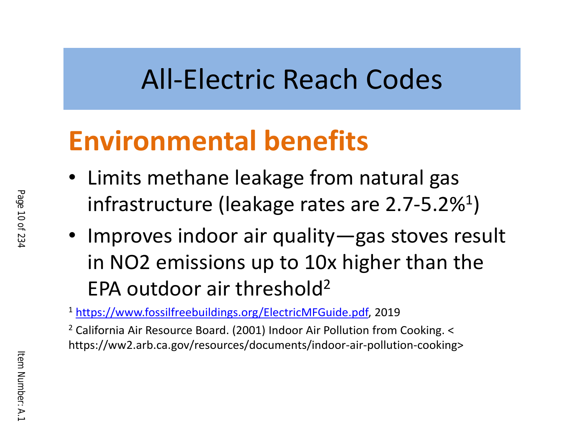# All -Electric Reach Codes

# **Environmental benefits**

- Limits methane leakage from natural gas infrastructure (leakage rates are 2.7-5.2%<sup>1</sup>)
- Improves indoor air quality —gas stoves result in NO2 emissions up to 10x higher than the EPA outdoor air threshold 2

<sup>1</sup> <https://www.fossilfreebuildings.org/ElectricMFGuide.pdf>, 2019

<sup>2</sup> California Air Resource Board. (2001) Indoor Air Pollution from Cooking. < https://ww2.arb.ca.gov/resources/documents/indoor -air -pollution -cooking>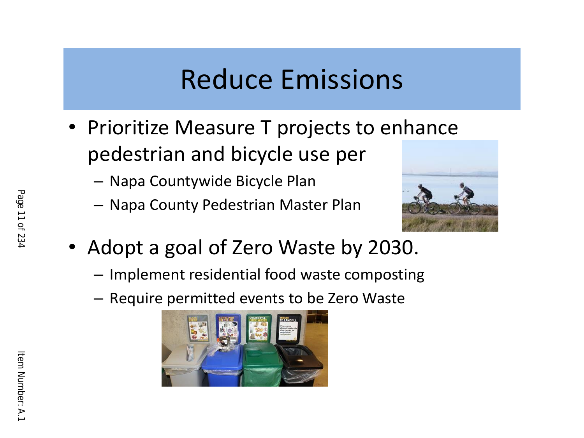## Reduce Emissions

- Prioritize Measure T projects to enhance pedestrian and bicycle use per
	- Napa Countywide Bicycle Plan
	- Napa County Pedestrian Master Plan



- Adopt a goal of Zero Waste by 2030.
	- Implement residential food waste composting
	- Require permitted events to be Zero Waste

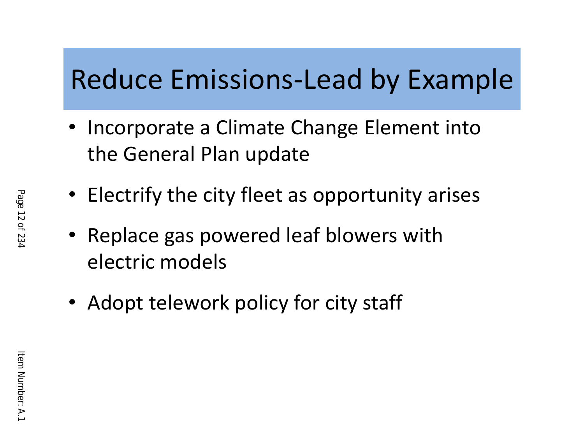# Reduce Emissions -Lead by Example

- Incorporate a Climate Change Element into the General Plan update
- Electrify the city fleet as opportunity arises
- Replace gas powered leaf blowers with electric models
- Adopt telework policy for city staff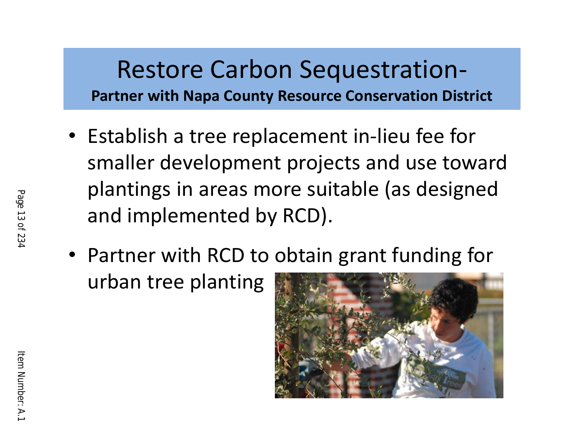#### Restore Carbon Sequestration - **Partner with Napa County Resource Conservation District**

- Establish a tree replacement in -lieu fee for smaller development projects and use toward plantings in areas more suitable (as designed and implemented by RCD).
- Partner with RCD to obtain grant funding for urban tree planting

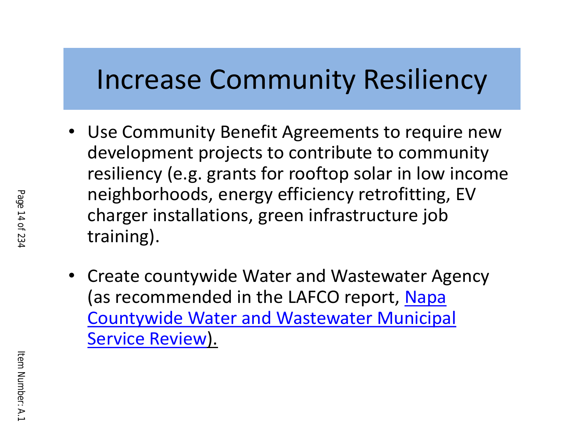### Increase Community Resiliency

- Use Community Benefit Agreements to require new development projects to contribute to community resiliency (e.g. grants for rooftop solar in low income neighborhoods, energy efficiency retrofitting, EV charger installations, green infrastructure job training).
- Create countywide Water and Wastewater Agency (as recommended in the LAFCO report, [Napa](https://drive.google.com/file/d/1wnhL1FOVbebl-X_P47wL4S2KAiLqxJx0/view)  [Countywide Water and Wastewater Municipal](https://drive.google.com/file/d/1wnhL1FOVbebl-X_P47wL4S2KAiLqxJx0/view)  [Service Review](https://drive.google.com/file/d/1wnhL1FOVbebl-X_P47wL4S2KAiLqxJx0/view)).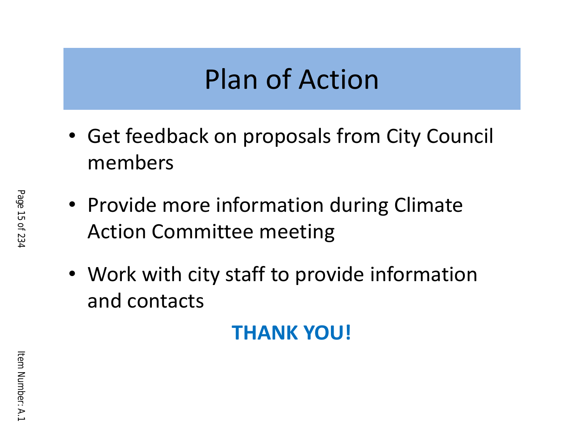## Plan of Action

- Get feedback on proposals from City Council members
- Provide more information during Climate Action Committee meeting
- Work with city staff to provide information and contacts

#### **THANK YOU!**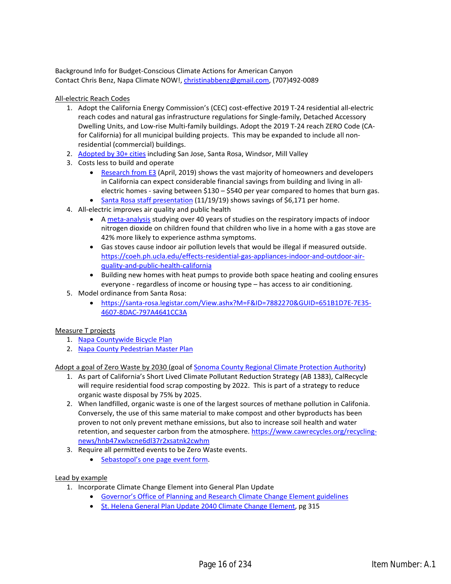Background Info for Budget-Conscious Climate Actions for American Canyon Contact Chris Benz, Napa Climate NOW!, [christinabbenz@gmail.com,](mailto:christinabbenz@gmail.com) (707)492-0089

All-electric Reach Codes

- 1. Adopt the California Energy Commission's (CEC) cost-effective 2019 T-24 residential all-electric reach codes and natural gas infrastructure regulations for Single-family, Detached Accessory Dwelling Units, and Low-rise Multi-family buildings. Adopt the 2019 T-24 reach ZERO Code (CAfor California) for all municipal building projects. This may be expanded to include all nonresidential (commercial) buildings.
- 2. [Adopted by 30+ cities](https://www.sierraclub.org/articles/2020/07/californias-cities-lead-way-gas-free-future) including San Jose, Santa Rosa, Windsor, Mill Valley
- 3. Costs less to build and operate
	- [Research from E3](https://www.ethree.com/wp-content/uploads/2019/04/E3_Residential_Building_Electrification_in_Californ
	ia_April_2019.pdf) (April, 2019) shows the vast majority of homeowners and developers in California can expect considerable financial savings from building and living in allelectric homes - saving between \$130 – \$540 per year compared to homes that burn gas.
	- Santa Rosa staff presentation (11/19/19) shows savings of \$6,171 per home.
- 4. All-electric improves air quality and public health
	- A [meta-analysis](https://pubmed.ncbi.nlm.nih.gov/23962958/) studying over 40 years of studies on the respiratory impacts of indoor nitrogen dioxide on children found that children who live in a home with a gas stove are 42% more likely to experience asthma symptoms.
	- Gas stoves cause indoor air pollution levels that would be illegal if measured outside. [https://coeh.ph.ucla.edu/effects-residential-gas-appliances-indoor-and-outdoor-air](https://coeh.ph.ucla.edu/effects-residential-gas-appliances-indoor-and-outdoor-air-quality-and-public
	-health-california)[quality-and-public-health-california](https://coeh.ph.ucla.edu/effects-residential-gas-appliances-indoor-and-outdoor-air-quality-and-public
	-health-california)
	- Building new homes with heat pumps to provide both space heating and cooling ensures everyone - regardless of income or housing type – has access to air conditioning.
- 5. Model ordinance from Santa Rosa:
	- [https://santa-rosa.legistar.com/View.ashx?M=F&ID=7882270&GUID=651B1D7E-7E35-](https://santa-rosa.legistar.com/View.ashx?M=F&ID=7882270&GUID=651B1D7E-7E35-4607-8DAC-797A4641CC3A) [4607-8DAC-797A4641CC3A](https://santa-rosa.legistar.com/View.ashx?M=F&ID=7882270&GUID=651B1D7E-7E35-4607-8DAC-797A4641CC3A)

#### Measure T projects

- 1. [Napa Countywide Bicycle Plan](https://www.nvta.ca.gov/sites/default/files/2019-10-10_Napa%20Countywide%20Bicycle%20Plan_FINAL_dm.pd
f)
- 2. [Napa County Pedestrian Master Plan](https://www.nvta.ca.gov/countywide-pedestrian-master-plan)

Adopt a goal of Zero Waste by 2030 (goal o[f Sonoma County Regional Climate Protection Authority\)](https://scta.ca.gov/wp-content/uploads/2020/08/4.1.1b-CEMS-Update.pdf)

- 1. As part of California's Short Lived Climate Pollutant Reduction Strategy (AB 1383), CalRecycle will require residential food scrap composting by 2022. This is part of a strategy to reduce organic waste disposal by 75% by 2025.
- 2. When landfilled, organic waste is one of the largest sources of methane pollution in Califonia. Conversely, the use of this same material to make compost and other byproducts has been proven to not only prevent methane emissions, but also to increase soil health and water retention, and sequester carbon from the atmosphere[. https://www.cawrecycles.org/recycling](https://www.cawrecycles.org/recycling-news/hnb47xwlxcne6dl37r2xsatnk2cwhm)[news/hnb47xwlxcne6dl37r2xsatnk2cwhm](https://www.cawrecycles.org/recycling-news/hnb47xwlxcne6dl37r2xsatnk2cwhm)
- 3. Require all permitted events to be Zero Waste events.
	- [Sebastopol's one page event form.](https://bloximages.chicago2.vip.townnews.com/sonomawest.com/content/tncms/assets/v3/editorial/0/33/03
	33b8ba-0d3a-11ea-b06f-2b567a12d1d1/5dd7faa1bad80.pdf.pdf)

#### Lead by example

- 1. Incorporate Climate Change Element into General Plan Update
	- [Governor's Office of Planning and Research Climate Change Element guidelines](https://opr.ca.gov/docs/OPR_C8_final.pdf)
	- [St. Helena General Plan Update 2040 Climate Change Element,](https://www.cityofsthelena.org/sites/default/files/fileattachments/planning_resources/page/3505/final
	_plan_compiled.pdf) pg 315